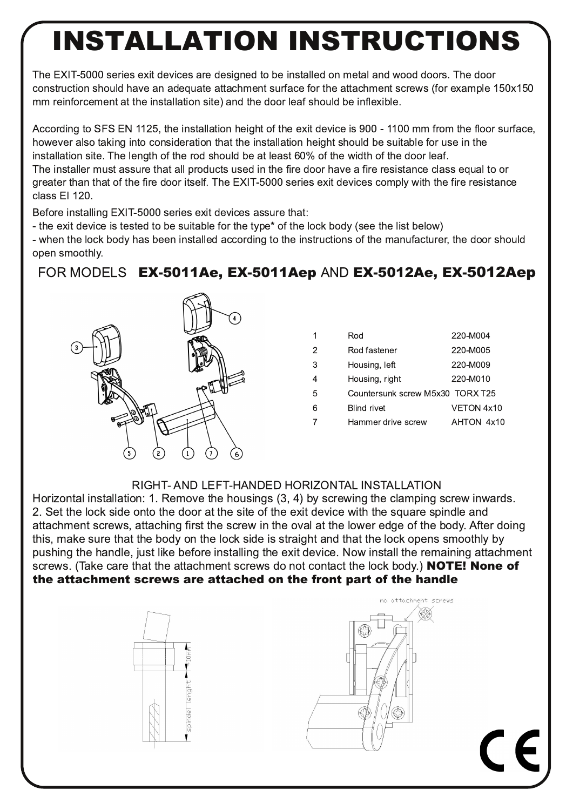## **INSTALLATION INSTRUCTIONS**

The EXIT-5000 series exit devices are designed to be installed on metal and wood doors. The door construction should have an adequate attachment surface for the attachment screws (for example 150x150 mm reinforcement at the installation site) and the door leaf should be inflexible.

According to SFS EN 1125, the installation height of the exit device is 900 - 1100 mm from the floor surface, however also taking into consideration that the installation height should be suitable for use in the installation site. The length of the rod should be at least 60% of the width of the door leaf. The installer must assure that all products used in the fire door have a fire resistance class equal to or greater than that of the fire door itself. The EXIT-5000 series exit devices comply with the fire resistance class El 120.

Before installing EXIT-5000 series exit devices assure that:

- the exit device is tested to be suitable for the type\* of the lock body (see the list below)

- when the lock body has been installed according to the instructions of the manufacturer, the door should open smoothly.

## FOR MODELS EX-5011Ae, EX-5011Aep AND EX-5012Ae, EX-5012Aep



| 1 | Rod                              | 220-M004   |
|---|----------------------------------|------------|
| 2 | Rod fastener                     | 220-M005   |
| 3 | Housing, left                    | 220-M009   |
| 4 | Housing, right                   | 220-M010   |
| 5 | Countersunk screw M5x30 TORX T25 |            |
| 6 | <b>Blind rivet</b>               | VETON 4x10 |
| 7 | Hammer drive screw               | AHTON 4x10 |
|   |                                  |            |

## RIGHT- AND LEFT-HANDED HORIZONTAL INSTALLATION

Horizontal installation: 1. Remove the housings (3, 4) by screwing the clamping screw inwards. 2. Set the lock side onto the door at the site of the exit device with the square spindle and attachment screws, attaching first the screw in the oval at the lower edge of the body. After doing this, make sure that the body on the lock side is straight and that the lock opens smoothly by pushing the handle, just like before installing the exit device. Now install the remaining attachment screws. (Take care that the attachment screws do not contact the lock body.) NOTE! None of the attachment screws are attached on the front part of the handle